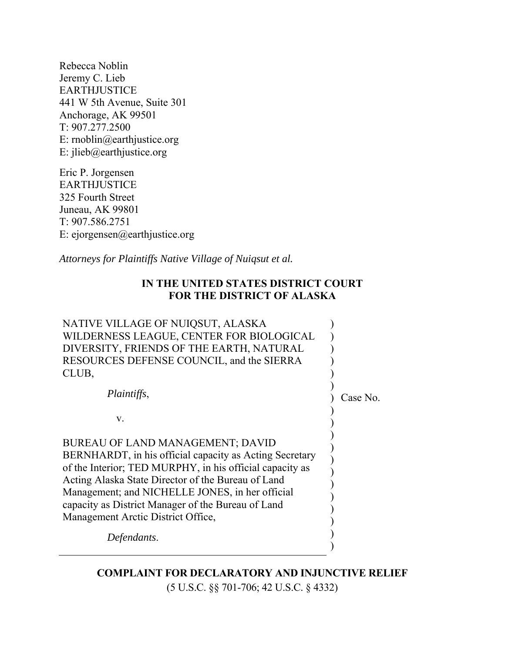Rebecca Noblin Jeremy C. Lieb EARTHJUSTICE 441 W 5th Avenue, Suite 301 Anchorage, AK 99501 T: 907.277.2500 E: rnoblin@earthjustice.org E: jlieb@earthjustice.org

Eric P. Jorgensen EARTHJUSTICE 325 Fourth Street Juneau, AK 99801 T: 907.586.2751 E: ejorgensen@earthjustice.org

*Attorneys for Plaintiffs Native Village of Nuiqsut et al.* 

# **IN THE UNITED STATES DISTRICT COURT FOR THE DISTRICT OF ALASKA**

| NATIVE VILLAGE OF NUIQSUT, ALASKA<br>WILDERNESS LEAGUE, CENTER FOR BIOLOGICAL<br>DIVERSITY, FRIENDS OF THE EARTH, NATURAL<br>RESOURCES DEFENSE COUNCIL, and the SIERRA<br>CLUB,                                                                                                                                                                              |          |
|--------------------------------------------------------------------------------------------------------------------------------------------------------------------------------------------------------------------------------------------------------------------------------------------------------------------------------------------------------------|----------|
| <i>Plaintiffs,</i>                                                                                                                                                                                                                                                                                                                                           | Case No. |
| $V_{\cdot}$                                                                                                                                                                                                                                                                                                                                                  |          |
| BUREAU OF LAND MANAGEMENT; DAVID<br>BERNHARDT, in his official capacity as Acting Secretary<br>of the Interior; TED MURPHY, in his official capacity as<br>Acting Alaska State Director of the Bureau of Land<br>Management; and NICHELLE JONES, in her official<br>capacity as District Manager of the Bureau of Land<br>Management Arctic District Office, |          |
| Defendants.                                                                                                                                                                                                                                                                                                                                                  |          |

**COMPLAINT FOR DECLARATORY AND INJUNCTIVE RELIEF**  (5 U.S.C. §§ 701-706; 42 U.S.C. § 4332)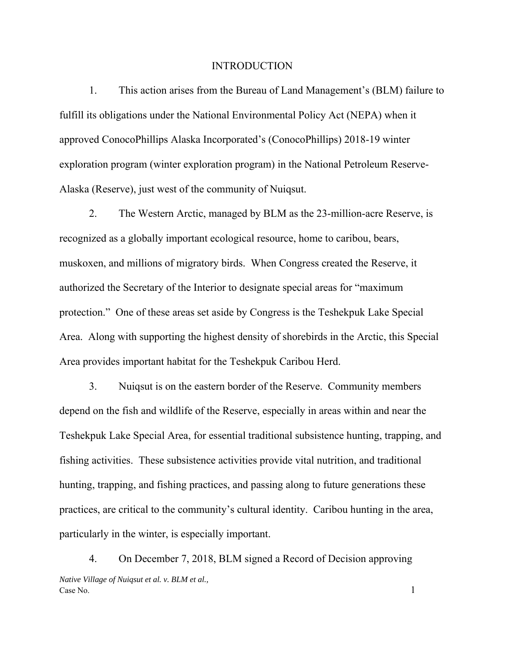#### INTRODUCTION

1. This action arises from the Bureau of Land Management's (BLM) failure to fulfill its obligations under the National Environmental Policy Act (NEPA) when it approved ConocoPhillips Alaska Incorporated's (ConocoPhillips) 2018-19 winter exploration program (winter exploration program) in the National Petroleum Reserve-Alaska (Reserve), just west of the community of Nuiqsut.

2. The Western Arctic, managed by BLM as the 23-million-acre Reserve, is recognized as a globally important ecological resource, home to caribou, bears, muskoxen, and millions of migratory birds. When Congress created the Reserve, it authorized the Secretary of the Interior to designate special areas for "maximum protection." One of these areas set aside by Congress is the Teshekpuk Lake Special Area. Along with supporting the highest density of shorebirds in the Arctic, this Special Area provides important habitat for the Teshekpuk Caribou Herd.

3. Nuiqsut is on the eastern border of the Reserve. Community members depend on the fish and wildlife of the Reserve, especially in areas within and near the Teshekpuk Lake Special Area, for essential traditional subsistence hunting, trapping, and fishing activities. These subsistence activities provide vital nutrition, and traditional hunting, trapping, and fishing practices, and passing along to future generations these practices, are critical to the community's cultural identity. Caribou hunting in the area, particularly in the winter, is especially important.

*Native Village of Nuiqsut et al. v. BLM et al.,*   $\cos N$  No. 1 4. On December 7, 2018, BLM signed a Record of Decision approving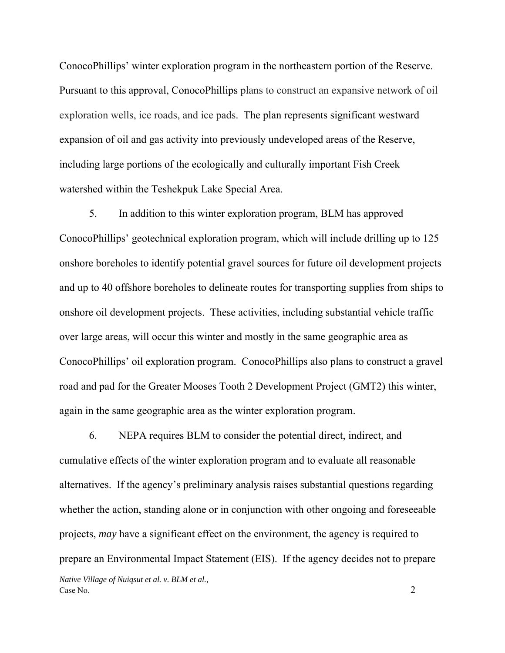ConocoPhillips' winter exploration program in the northeastern portion of the Reserve. Pursuant to this approval, ConocoPhillips plans to construct an expansive network of oil exploration wells, ice roads, and ice pads. The plan represents significant westward expansion of oil and gas activity into previously undeveloped areas of the Reserve, including large portions of the ecologically and culturally important Fish Creek watershed within the Teshekpuk Lake Special Area.

5. In addition to this winter exploration program, BLM has approved ConocoPhillips' geotechnical exploration program, which will include drilling up to 125 onshore boreholes to identify potential gravel sources for future oil development projects and up to 40 offshore boreholes to delineate routes for transporting supplies from ships to onshore oil development projects. These activities, including substantial vehicle traffic over large areas, will occur this winter and mostly in the same geographic area as ConocoPhillips' oil exploration program. ConocoPhillips also plans to construct a gravel road and pad for the Greater Mooses Tooth 2 Development Project (GMT2) this winter, again in the same geographic area as the winter exploration program.

*Native Village of Nuiqsut et al. v. BLM et al.,*  Case No. 2 6. NEPA requires BLM to consider the potential direct, indirect, and cumulative effects of the winter exploration program and to evaluate all reasonable alternatives. If the agency's preliminary analysis raises substantial questions regarding whether the action, standing alone or in conjunction with other ongoing and foreseeable projects, *may* have a significant effect on the environment, the agency is required to prepare an Environmental Impact Statement (EIS). If the agency decides not to prepare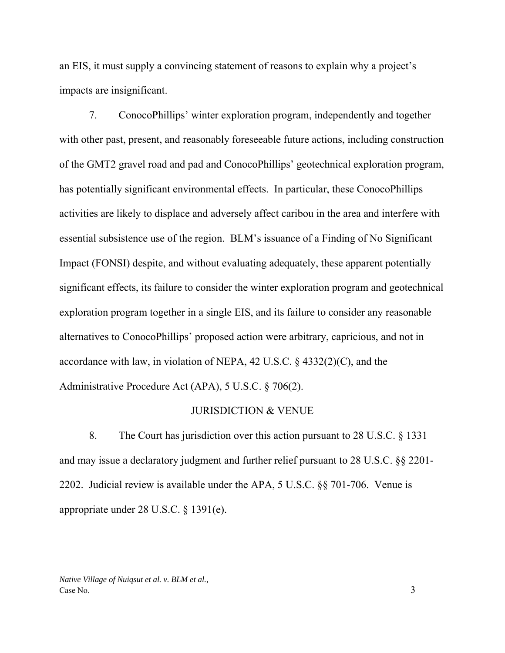an EIS, it must supply a convincing statement of reasons to explain why a project's impacts are insignificant.

7. ConocoPhillips' winter exploration program, independently and together with other past, present, and reasonably foreseeable future actions, including construction of the GMT2 gravel road and pad and ConocoPhillips' geotechnical exploration program, has potentially significant environmental effects. In particular, these ConocoPhillips activities are likely to displace and adversely affect caribou in the area and interfere with essential subsistence use of the region. BLM's issuance of a Finding of No Significant Impact (FONSI) despite, and without evaluating adequately, these apparent potentially significant effects, its failure to consider the winter exploration program and geotechnical exploration program together in a single EIS, and its failure to consider any reasonable alternatives to ConocoPhillips' proposed action were arbitrary, capricious, and not in accordance with law, in violation of NEPA, 42 U.S.C. § 4332(2)(C), and the Administrative Procedure Act (APA), 5 U.S.C. § 706(2).

#### JURISDICTION & VENUE

8. The Court has jurisdiction over this action pursuant to 28 U.S.C. § 1331 and may issue a declaratory judgment and further relief pursuant to 28 U.S.C. §§ 2201- 2202. Judicial review is available under the APA, 5 U.S.C. §§ 701-706. Venue is appropriate under 28 U.S.C. § 1391(e).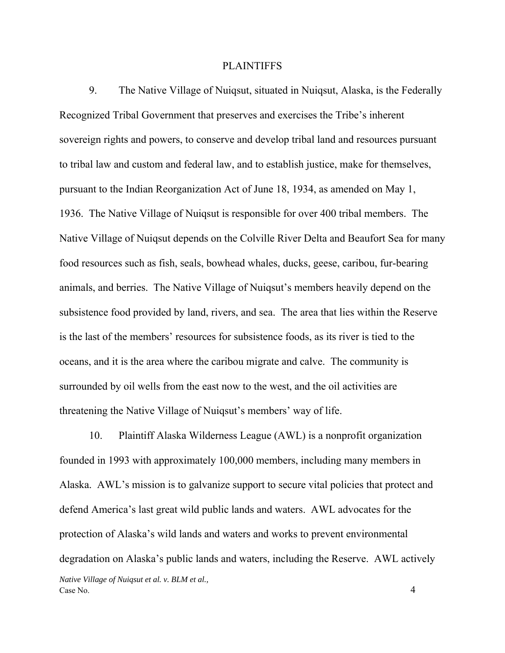#### **PLAINTIFFS**

9. The Native Village of Nuiqsut, situated in Nuiqsut, Alaska, is the Federally Recognized Tribal Government that preserves and exercises the Tribe's inherent sovereign rights and powers, to conserve and develop tribal land and resources pursuant to tribal law and custom and federal law, and to establish justice, make for themselves, pursuant to the Indian Reorganization Act of June 18, 1934, as amended on May 1, 1936. The Native Village of Nuiqsut is responsible for over 400 tribal members. The Native Village of Nuiqsut depends on the Colville River Delta and Beaufort Sea for many food resources such as fish, seals, bowhead whales, ducks, geese, caribou, fur-bearing animals, and berries. The Native Village of Nuiqsut's members heavily depend on the subsistence food provided by land, rivers, and sea. The area that lies within the Reserve is the last of the members' resources for subsistence foods, as its river is tied to the oceans, and it is the area where the caribou migrate and calve. The community is surrounded by oil wells from the east now to the west, and the oil activities are threatening the Native Village of Nuiqsut's members' way of life.

*Native Village of Nuiqsut et al. v. BLM et al.,*  Case No. 4 10. Plaintiff Alaska Wilderness League (AWL) is a nonprofit organization founded in 1993 with approximately 100,000 members, including many members in Alaska. AWL's mission is to galvanize support to secure vital policies that protect and defend America's last great wild public lands and waters. AWL advocates for the protection of Alaska's wild lands and waters and works to prevent environmental degradation on Alaska's public lands and waters, including the Reserve. AWL actively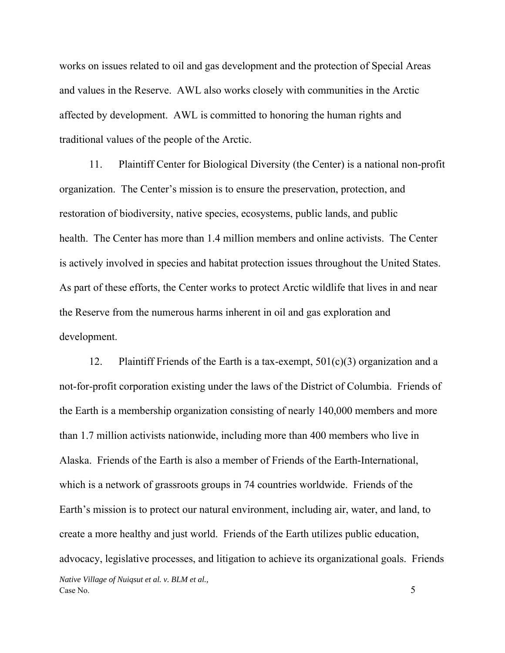works on issues related to oil and gas development and the protection of Special Areas and values in the Reserve. AWL also works closely with communities in the Arctic affected by development. AWL is committed to honoring the human rights and traditional values of the people of the Arctic.

11. Plaintiff Center for Biological Diversity (the Center) is a national non-profit organization. The Center's mission is to ensure the preservation, protection, and restoration of biodiversity, native species, ecosystems, public lands, and public health. The Center has more than 1.4 million members and online activists. The Center is actively involved in species and habitat protection issues throughout the United States. As part of these efforts, the Center works to protect Arctic wildlife that lives in and near the Reserve from the numerous harms inherent in oil and gas exploration and development.

*Native Village of Nuiqsut et al. v. BLM et al.,*  Case No. 5 12. Plaintiff Friends of the Earth is a tax-exempt, 501(c)(3) organization and a not-for-profit corporation existing under the laws of the District of Columbia. Friends of the Earth is a membership organization consisting of nearly 140,000 members and more than 1.7 million activists nationwide, including more than 400 members who live in Alaska. Friends of the Earth is also a member of Friends of the Earth-International, which is a network of grassroots groups in 74 countries worldwide. Friends of the Earth's mission is to protect our natural environment, including air, water, and land, to create a more healthy and just world. Friends of the Earth utilizes public education, advocacy, legislative processes, and litigation to achieve its organizational goals. Friends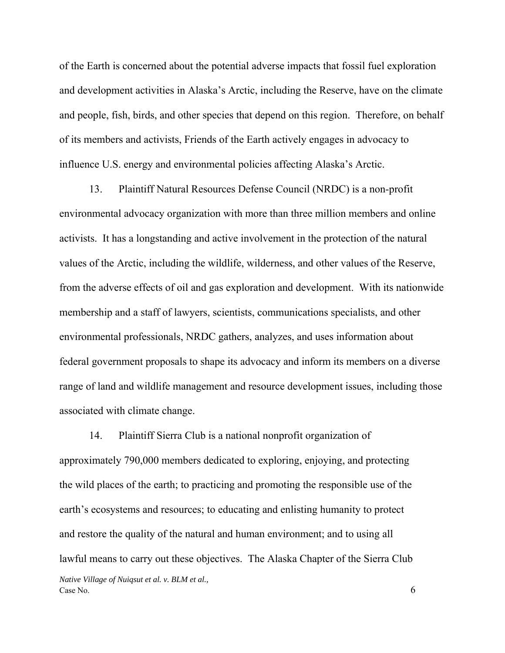of the Earth is concerned about the potential adverse impacts that fossil fuel exploration and development activities in Alaska's Arctic, including the Reserve, have on the climate and people, fish, birds, and other species that depend on this region. Therefore, on behalf of its members and activists, Friends of the Earth actively engages in advocacy to influence U.S. energy and environmental policies affecting Alaska's Arctic.

13. Plaintiff Natural Resources Defense Council (NRDC) is a non-profit environmental advocacy organization with more than three million members and online activists. It has a longstanding and active involvement in the protection of the natural values of the Arctic, including the wildlife, wilderness, and other values of the Reserve, from the adverse effects of oil and gas exploration and development. With its nationwide membership and a staff of lawyers, scientists, communications specialists, and other environmental professionals, NRDC gathers, analyzes, and uses information about federal government proposals to shape its advocacy and inform its members on a diverse range of land and wildlife management and resource development issues, including those associated with climate change.

*Native Village of Nuiqsut et al. v. BLM et al.,*   $\cos N$  No. 6 14. Plaintiff Sierra Club is a national nonprofit organization of approximately 790,000 members dedicated to exploring, enjoying, and protecting the wild places of the earth; to practicing and promoting the responsible use of the earth's ecosystems and resources; to educating and enlisting humanity to protect and restore the quality of the natural and human environment; and to using all lawful means to carry out these objectives. The Alaska Chapter of the Sierra Club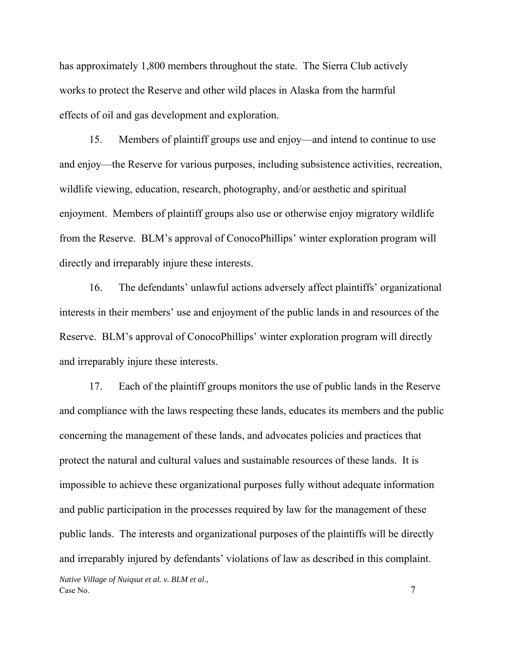has approximately 1,800 members throughout the state. The Sierra Club actively works to protect the Reserve and other wild places in Alaska from the harmful effects of oil and gas development and exploration.

15. Members of plaintiff groups use and enjoy—and intend to continue to use and enjoy—the Reserve for various purposes, including subsistence activities, recreation, wildlife viewing, education, research, photography, and/or aesthetic and spiritual enjoyment. Members of plaintiff groups also use or otherwise enjoy migratory wildlife from the Reserve. BLM's approval of ConocoPhillips' winter exploration program will directly and irreparably injure these interests.

16. The defendants' unlawful actions adversely affect plaintiffs' organizational interests in their members' use and enjoyment of the public lands in and resources of the Reserve. BLM's approval of ConocoPhillips' winter exploration program will directly and irreparably injure these interests.

*Native Village of Nuiqsut et al. v. BLM et al.,*  17. Each of the plaintiff groups monitors the use of public lands in the Reserve and compliance with the laws respecting these lands, educates its members and the public concerning the management of these lands, and advocates policies and practices that protect the natural and cultural values and sustainable resources of these lands. It is impossible to achieve these organizational purposes fully without adequate information and public participation in the processes required by law for the management of these public lands. The interests and organizational purposes of the plaintiffs will be directly and irreparably injured by defendants' violations of law as described in this complaint.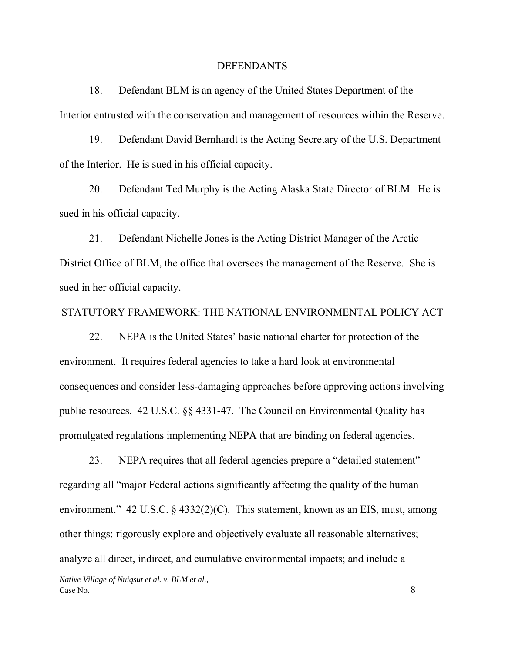#### DEFENDANTS

18. Defendant BLM is an agency of the United States Department of the Interior entrusted with the conservation and management of resources within the Reserve.

19. Defendant David Bernhardt is the Acting Secretary of the U.S. Department of the Interior. He is sued in his official capacity.

20. Defendant Ted Murphy is the Acting Alaska State Director of BLM. He is sued in his official capacity.

21. Defendant Nichelle Jones is the Acting District Manager of the Arctic District Office of BLM, the office that oversees the management of the Reserve. She is sued in her official capacity.

### STATUTORY FRAMEWORK: THE NATIONAL ENVIRONMENTAL POLICY ACT

22. NEPA is the United States' basic national charter for protection of the environment. It requires federal agencies to take a hard look at environmental consequences and consider less-damaging approaches before approving actions involving public resources. 42 U.S.C. §§ 4331-47. The Council on Environmental Quality has promulgated regulations implementing NEPA that are binding on federal agencies.

*Native Village of Nuiqsut et al. v. BLM et al.,*   $\cos N$  No.  $\frac{8}{3}$ 23. NEPA requires that all federal agencies prepare a "detailed statement" regarding all "major Federal actions significantly affecting the quality of the human environment." 42 U.S.C. § 4332(2)(C). This statement, known as an EIS, must, among other things: rigorously explore and objectively evaluate all reasonable alternatives; analyze all direct, indirect, and cumulative environmental impacts; and include a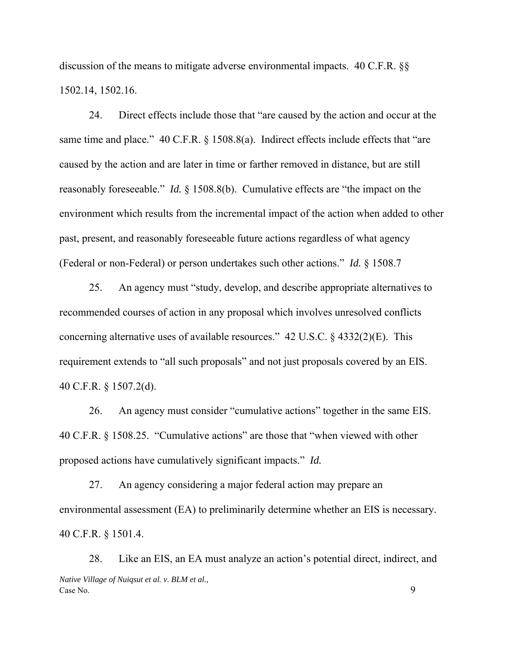discussion of the means to mitigate adverse environmental impacts. 40 C.F.R. §§ 1502.14, 1502.16.

24. Direct effects include those that "are caused by the action and occur at the same time and place." 40 C.F.R. § 1508.8(a). Indirect effects include effects that "are caused by the action and are later in time or farther removed in distance, but are still reasonably foreseeable." *Id.* § 1508.8(b). Cumulative effects are "the impact on the environment which results from the incremental impact of the action when added to other past, present, and reasonably foreseeable future actions regardless of what agency (Federal or non-Federal) or person undertakes such other actions." *Id.* § 1508.7

25. An agency must "study, develop, and describe appropriate alternatives to recommended courses of action in any proposal which involves unresolved conflicts concerning alternative uses of available resources." 42 U.S.C. § 4332(2)(E). This requirement extends to "all such proposals" and not just proposals covered by an EIS. 40 C.F.R. § 1507.2(d).

26. An agency must consider "cumulative actions" together in the same EIS. 40 C.F.R. § 1508.25. "Cumulative actions" are those that "when viewed with other proposed actions have cumulatively significant impacts." *Id.*

27. An agency considering a major federal action may prepare an environmental assessment (EA) to preliminarily determine whether an EIS is necessary. 40 C.F.R. § 1501.4.

*Native Village of Nuiqsut et al. v. BLM et al.,*  Case No. 99 28. Like an EIS, an EA must analyze an action's potential direct, indirect, and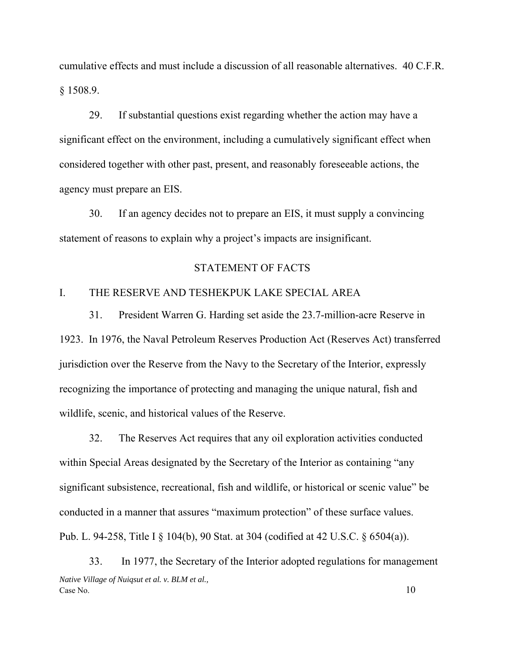cumulative effects and must include a discussion of all reasonable alternatives. 40 C.F.R. § 1508.9.

29. If substantial questions exist regarding whether the action may have a significant effect on the environment, including a cumulatively significant effect when considered together with other past, present, and reasonably foreseeable actions, the agency must prepare an EIS.

30. If an agency decides not to prepare an EIS, it must supply a convincing statement of reasons to explain why a project's impacts are insignificant.

#### STATEMENT OF FACTS

## I. THE RESERVE AND TESHEKPUK LAKE SPECIAL AREA

31. President Warren G. Harding set aside the 23.7-million-acre Reserve in 1923. In 1976, the Naval Petroleum Reserves Production Act (Reserves Act) transferred jurisdiction over the Reserve from the Navy to the Secretary of the Interior, expressly recognizing the importance of protecting and managing the unique natural, fish and wildlife, scenic, and historical values of the Reserve.

32. The Reserves Act requires that any oil exploration activities conducted within Special Areas designated by the Secretary of the Interior as containing "any significant subsistence, recreational, fish and wildlife, or historical or scenic value" be conducted in a manner that assures "maximum protection" of these surface values. Pub. L. 94-258, Title I § 104(b), 90 Stat. at 304 (codified at 42 U.S.C. § 6504(a)).

*Native Village of Nuiqsut et al. v. BLM et al.,*   $\cos N$  No.  $10$ 33. In 1977, the Secretary of the Interior adopted regulations for management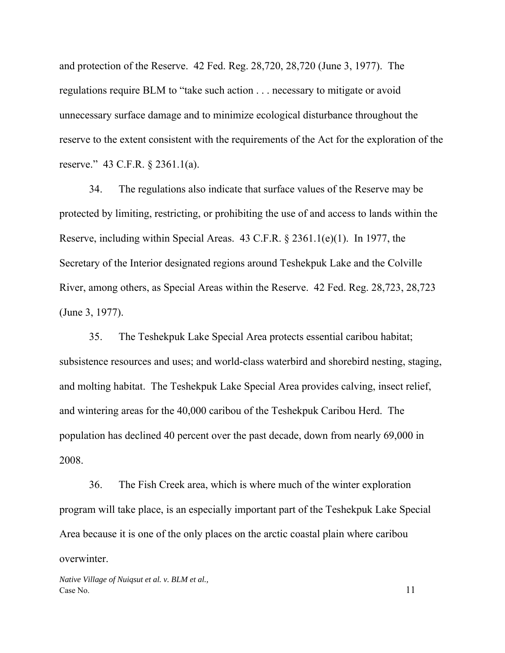and protection of the Reserve. 42 Fed. Reg. 28,720, 28,720 (June 3, 1977). The regulations require BLM to "take such action . . . necessary to mitigate or avoid unnecessary surface damage and to minimize ecological disturbance throughout the reserve to the extent consistent with the requirements of the Act for the exploration of the reserve." 43 C.F.R. § 2361.1(a).

34. The regulations also indicate that surface values of the Reserve may be protected by limiting, restricting, or prohibiting the use of and access to lands within the Reserve, including within Special Areas. 43 C.F.R. § 2361.1(e)(1). In 1977, the Secretary of the Interior designated regions around Teshekpuk Lake and the Colville River, among others, as Special Areas within the Reserve. 42 Fed. Reg. 28,723, 28,723 (June 3, 1977).

35. The Teshekpuk Lake Special Area protects essential caribou habitat; subsistence resources and uses; and world-class waterbird and shorebird nesting, staging, and molting habitat. The Teshekpuk Lake Special Area provides calving, insect relief, and wintering areas for the 40,000 caribou of the Teshekpuk Caribou Herd. The population has declined 40 percent over the past decade, down from nearly 69,000 in 2008.

36. The Fish Creek area, which is where much of the winter exploration program will take place, is an especially important part of the Teshekpuk Lake Special Area because it is one of the only places on the arctic coastal plain where caribou overwinter.

*Native Village of Nuiqsut et al. v. BLM et al.,*   $\cos N$ o. 11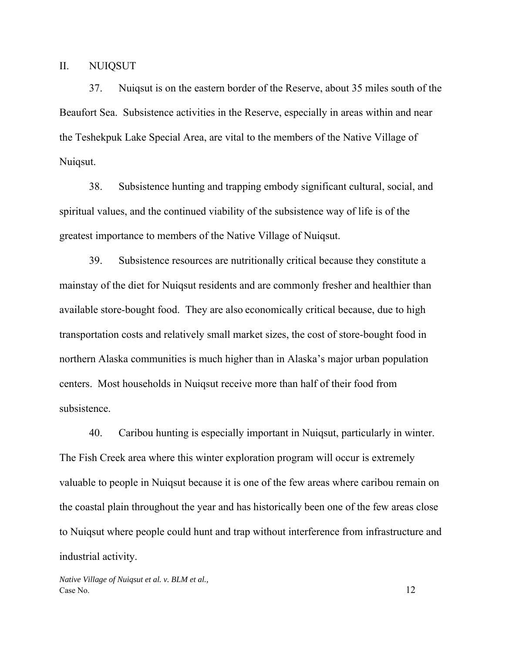II. NUIQSUT

37. Nuiqsut is on the eastern border of the Reserve, about 35 miles south of the Beaufort Sea. Subsistence activities in the Reserve, especially in areas within and near the Teshekpuk Lake Special Area, are vital to the members of the Native Village of Nuiqsut.

38. Subsistence hunting and trapping embody significant cultural, social, and spiritual values, and the continued viability of the subsistence way of life is of the greatest importance to members of the Native Village of Nuiqsut.

39. Subsistence resources are nutritionally critical because they constitute a mainstay of the diet for Nuiqsut residents and are commonly fresher and healthier than available store-bought food. They are also economically critical because, due to high transportation costs and relatively small market sizes, the cost of store-bought food in northern Alaska communities is much higher than in Alaska's major urban population centers. Most households in Nuiqsut receive more than half of their food from subsistence.

40. Caribou hunting is especially important in Nuiqsut, particularly in winter. The Fish Creek area where this winter exploration program will occur is extremely valuable to people in Nuiqsut because it is one of the few areas where caribou remain on the coastal plain throughout the year and has historically been one of the few areas close to Nuiqsut where people could hunt and trap without interference from infrastructure and industrial activity.

*Native Village of Nuiqsut et al. v. BLM et al.,*  Case No. 12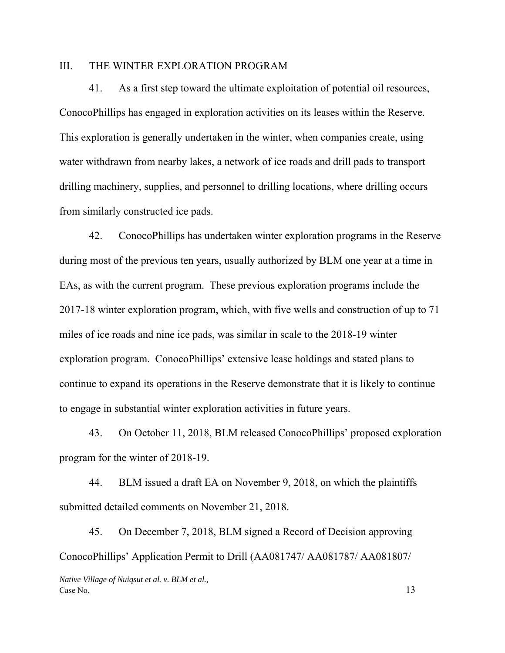### III. THE WINTER EXPLORATION PROGRAM

41. As a first step toward the ultimate exploitation of potential oil resources, ConocoPhillips has engaged in exploration activities on its leases within the Reserve. This exploration is generally undertaken in the winter, when companies create, using water withdrawn from nearby lakes, a network of ice roads and drill pads to transport drilling machinery, supplies, and personnel to drilling locations, where drilling occurs from similarly constructed ice pads.

42. ConocoPhillips has undertaken winter exploration programs in the Reserve during most of the previous ten years, usually authorized by BLM one year at a time in EAs, as with the current program. These previous exploration programs include the 2017-18 winter exploration program, which, with five wells and construction of up to 71 miles of ice roads and nine ice pads, was similar in scale to the 2018-19 winter exploration program. ConocoPhillips' extensive lease holdings and stated plans to continue to expand its operations in the Reserve demonstrate that it is likely to continue to engage in substantial winter exploration activities in future years.

43. On October 11, 2018, BLM released ConocoPhillips' proposed exploration program for the winter of 2018-19.

44. BLM issued a draft EA on November 9, 2018, on which the plaintiffs submitted detailed comments on November 21, 2018.

45. On December 7, 2018, BLM signed a Record of Decision approving ConocoPhillips' Application Permit to Drill (AA081747/ AA081787/ AA081807/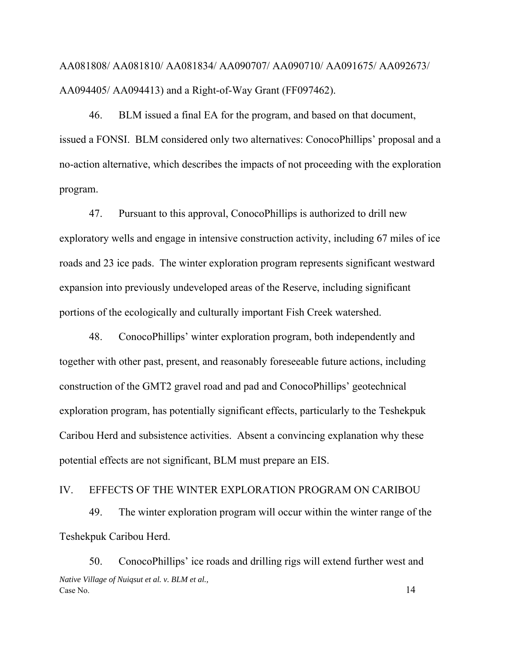AA081808/ AA081810/ AA081834/ AA090707/ AA090710/ AA091675/ AA092673/ AA094405/ AA094413) and a Right-of-Way Grant (FF097462).

46. BLM issued a final EA for the program, and based on that document, issued a FONSI. BLM considered only two alternatives: ConocoPhillips' proposal and a no-action alternative, which describes the impacts of not proceeding with the exploration program.

47. Pursuant to this approval, ConocoPhillips is authorized to drill new exploratory wells and engage in intensive construction activity, including 67 miles of ice roads and 23 ice pads. The winter exploration program represents significant westward expansion into previously undeveloped areas of the Reserve, including significant portions of the ecologically and culturally important Fish Creek watershed.

48. ConocoPhillips' winter exploration program, both independently and together with other past, present, and reasonably foreseeable future actions, including construction of the GMT2 gravel road and pad and ConocoPhillips' geotechnical exploration program, has potentially significant effects, particularly to the Teshekpuk Caribou Herd and subsistence activities. Absent a convincing explanation why these potential effects are not significant, BLM must prepare an EIS.

### IV. EFFECTS OF THE WINTER EXPLORATION PROGRAM ON CARIBOU

49. The winter exploration program will occur within the winter range of the Teshekpuk Caribou Herd.

*Native Village of Nuiqsut et al. v. BLM et al.,*  Case No. 14 50. ConocoPhillips' ice roads and drilling rigs will extend further west and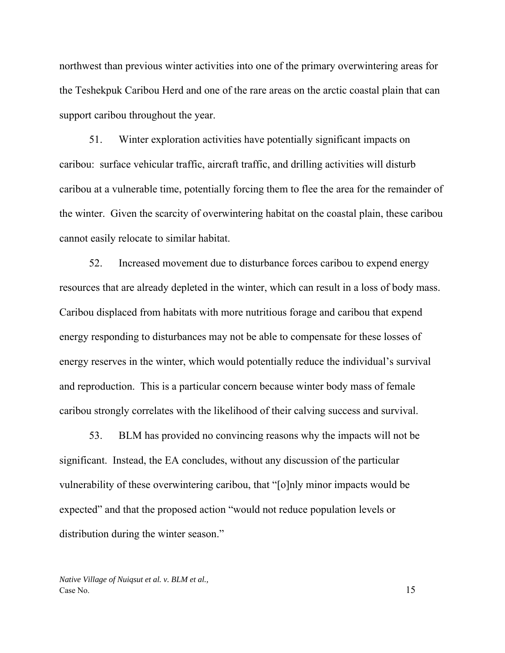northwest than previous winter activities into one of the primary overwintering areas for the Teshekpuk Caribou Herd and one of the rare areas on the arctic coastal plain that can support caribou throughout the year.

51. Winter exploration activities have potentially significant impacts on caribou: surface vehicular traffic, aircraft traffic, and drilling activities will disturb caribou at a vulnerable time, potentially forcing them to flee the area for the remainder of the winter. Given the scarcity of overwintering habitat on the coastal plain, these caribou cannot easily relocate to similar habitat.

52. Increased movement due to disturbance forces caribou to expend energy resources that are already depleted in the winter, which can result in a loss of body mass. Caribou displaced from habitats with more nutritious forage and caribou that expend energy responding to disturbances may not be able to compensate for these losses of energy reserves in the winter, which would potentially reduce the individual's survival and reproduction. This is a particular concern because winter body mass of female caribou strongly correlates with the likelihood of their calving success and survival.

53. BLM has provided no convincing reasons why the impacts will not be significant. Instead, the EA concludes, without any discussion of the particular vulnerability of these overwintering caribou, that "[o]nly minor impacts would be expected" and that the proposed action "would not reduce population levels or distribution during the winter season."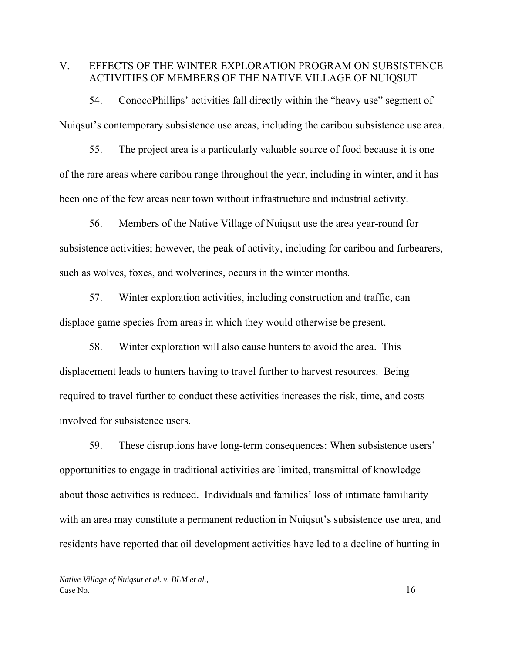# V. EFFECTS OF THE WINTER EXPLORATION PROGRAM ON SUBSISTENCE ACTIVITIES OF MEMBERS OF THE NATIVE VILLAGE OF NUIQSUT

54. ConocoPhillips' activities fall directly within the "heavy use" segment of Nuiqsut's contemporary subsistence use areas, including the caribou subsistence use area.

55. The project area is a particularly valuable source of food because it is one of the rare areas where caribou range throughout the year, including in winter, and it has been one of the few areas near town without infrastructure and industrial activity.

56. Members of the Native Village of Nuiqsut use the area year-round for subsistence activities; however, the peak of activity, including for caribou and furbearers, such as wolves, foxes, and wolverines, occurs in the winter months.

57. Winter exploration activities, including construction and traffic, can displace game species from areas in which they would otherwise be present.

58. Winter exploration will also cause hunters to avoid the area. This displacement leads to hunters having to travel further to harvest resources. Being required to travel further to conduct these activities increases the risk, time, and costs involved for subsistence users.

59. These disruptions have long-term consequences: When subsistence users' opportunities to engage in traditional activities are limited, transmittal of knowledge about those activities is reduced. Individuals and families' loss of intimate familiarity with an area may constitute a permanent reduction in Nuiqsut's subsistence use area, and residents have reported that oil development activities have led to a decline of hunting in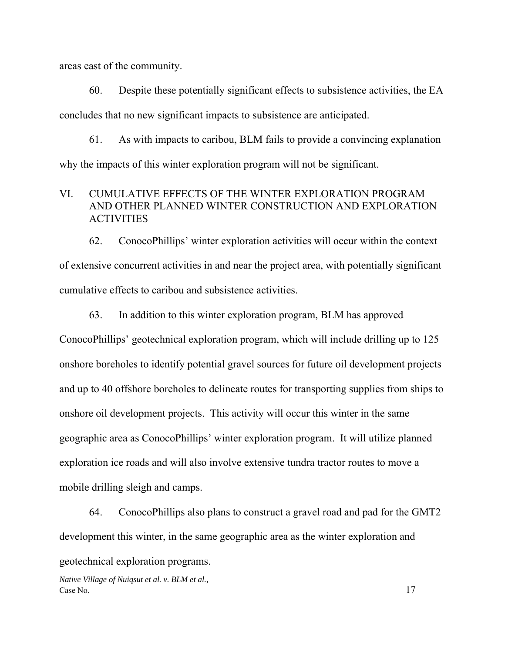areas east of the community.

60. Despite these potentially significant effects to subsistence activities, the EA concludes that no new significant impacts to subsistence are anticipated.

61. As with impacts to caribou, BLM fails to provide a convincing explanation why the impacts of this winter exploration program will not be significant.

# VI. CUMULATIVE EFFECTS OF THE WINTER EXPLORATION PROGRAM AND OTHER PLANNED WINTER CONSTRUCTION AND EXPLORATION **ACTIVITIES**

62. ConocoPhillips' winter exploration activities will occur within the context of extensive concurrent activities in and near the project area, with potentially significant cumulative effects to caribou and subsistence activities.

63. In addition to this winter exploration program, BLM has approved

ConocoPhillips' geotechnical exploration program, which will include drilling up to 125 onshore boreholes to identify potential gravel sources for future oil development projects and up to 40 offshore boreholes to delineate routes for transporting supplies from ships to onshore oil development projects. This activity will occur this winter in the same geographic area as ConocoPhillips' winter exploration program. It will utilize planned exploration ice roads and will also involve extensive tundra tractor routes to move a mobile drilling sleigh and camps.

64. ConocoPhillips also plans to construct a gravel road and pad for the GMT2 development this winter, in the same geographic area as the winter exploration and

geotechnical exploration programs.

*Native Village of Nuiqsut et al. v. BLM et al.,*   $\cos N$ o. 17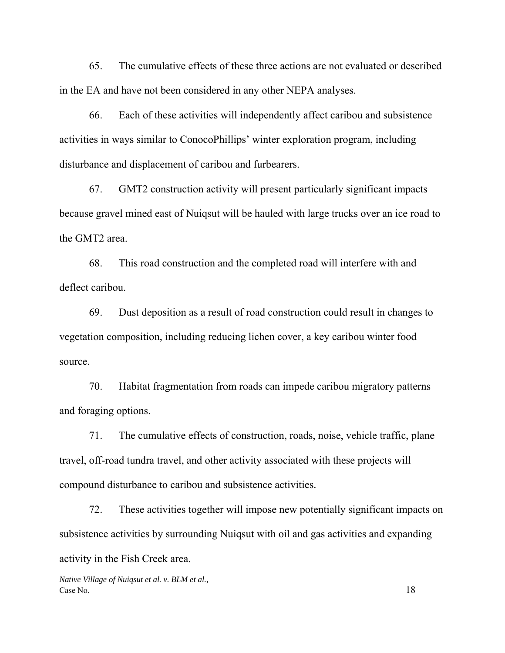65. The cumulative effects of these three actions are not evaluated or described in the EA and have not been considered in any other NEPA analyses.

66. Each of these activities will independently affect caribou and subsistence activities in ways similar to ConocoPhillips' winter exploration program, including disturbance and displacement of caribou and furbearers.

67. GMT2 construction activity will present particularly significant impacts because gravel mined east of Nuiqsut will be hauled with large trucks over an ice road to the GMT2 area.

68. This road construction and the completed road will interfere with and deflect caribou.

69. Dust deposition as a result of road construction could result in changes to vegetation composition, including reducing lichen cover, a key caribou winter food source.

70. Habitat fragmentation from roads can impede caribou migratory patterns and foraging options.

71. The cumulative effects of construction, roads, noise, vehicle traffic, plane travel, off-road tundra travel, and other activity associated with these projects will compound disturbance to caribou and subsistence activities.

72. These activities together will impose new potentially significant impacts on subsistence activities by surrounding Nuiqsut with oil and gas activities and expanding activity in the Fish Creek area.

*Native Village of Nuiqsut et al. v. BLM et al.,*  Case No. 18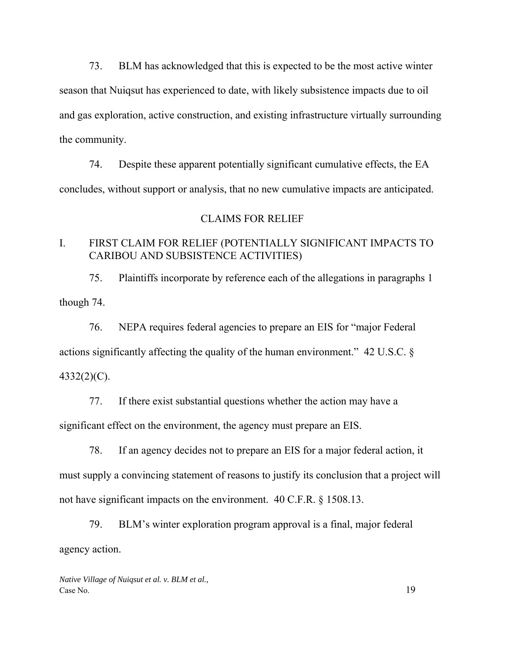73. BLM has acknowledged that this is expected to be the most active winter season that Nuiqsut has experienced to date, with likely subsistence impacts due to oil and gas exploration, active construction, and existing infrastructure virtually surrounding the community.

74. Despite these apparent potentially significant cumulative effects, the EA concludes, without support or analysis, that no new cumulative impacts are anticipated.

### CLAIMS FOR RELIEF

# I. FIRST CLAIM FOR RELIEF (POTENTIALLY SIGNIFICANT IMPACTS TO CARIBOU AND SUBSISTENCE ACTIVITIES)

75. Plaintiffs incorporate by reference each of the allegations in paragraphs 1 though 74.

76. NEPA requires federal agencies to prepare an EIS for "major Federal actions significantly affecting the quality of the human environment." 42 U.S.C. § 4332(2)(C).

77. If there exist substantial questions whether the action may have a significant effect on the environment, the agency must prepare an EIS.

78. If an agency decides not to prepare an EIS for a major federal action, it must supply a convincing statement of reasons to justify its conclusion that a project will not have significant impacts on the environment. 40 C.F.R. § 1508.13.

79. BLM's winter exploration program approval is a final, major federal agency action.

*Native Village of Nuiqsut et al. v. BLM et al.,*  Case No. 19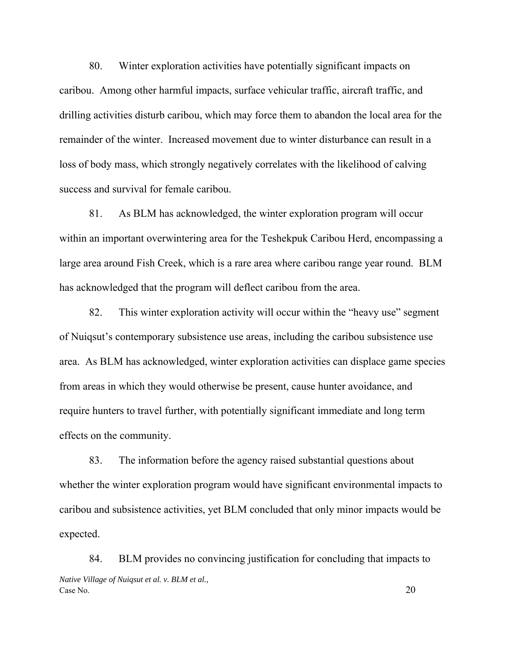80. Winter exploration activities have potentially significant impacts on caribou. Among other harmful impacts, surface vehicular traffic, aircraft traffic, and drilling activities disturb caribou, which may force them to abandon the local area for the remainder of the winter. Increased movement due to winter disturbance can result in a loss of body mass, which strongly negatively correlates with the likelihood of calving success and survival for female caribou.

81. As BLM has acknowledged, the winter exploration program will occur within an important overwintering area for the Teshekpuk Caribou Herd, encompassing a large area around Fish Creek, which is a rare area where caribou range year round. BLM has acknowledged that the program will deflect caribou from the area.

82. This winter exploration activity will occur within the "heavy use" segment of Nuiqsut's contemporary subsistence use areas, including the caribou subsistence use area. As BLM has acknowledged, winter exploration activities can displace game species from areas in which they would otherwise be present, cause hunter avoidance, and require hunters to travel further, with potentially significant immediate and long term effects on the community.

83. The information before the agency raised substantial questions about whether the winter exploration program would have significant environmental impacts to caribou and subsistence activities, yet BLM concluded that only minor impacts would be expected.

*Native Village of Nuiqsut et al. v. BLM et al.,*   $\cos N$  No. 20 84. BLM provides no convincing justification for concluding that impacts to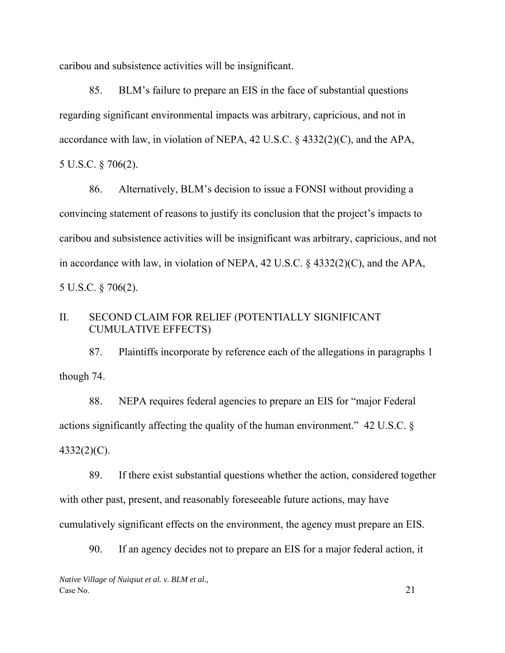caribou and subsistence activities will be insignificant.

85. BLM's failure to prepare an EIS in the face of substantial questions regarding significant environmental impacts was arbitrary, capricious, and not in accordance with law, in violation of NEPA, 42 U.S.C. § 4332(2)(C), and the APA, 5 U.S.C. § 706(2).

86. Alternatively, BLM's decision to issue a FONSI without providing a convincing statement of reasons to justify its conclusion that the project's impacts to caribou and subsistence activities will be insignificant was arbitrary, capricious, and not in accordance with law, in violation of NEPA, 42 U.S.C. § 4332(2)(C), and the APA, 5 U.S.C. § 706(2).

# II. SECOND CLAIM FOR RELIEF (POTENTIALLY SIGNIFICANT CUMULATIVE EFFECTS)

87. Plaintiffs incorporate by reference each of the allegations in paragraphs 1 though 74.

88. NEPA requires federal agencies to prepare an EIS for "major Federal actions significantly affecting the quality of the human environment." 42 U.S.C. § 4332(2)(C).

89. If there exist substantial questions whether the action, considered together with other past, present, and reasonably foreseeable future actions, may have cumulatively significant effects on the environment, the agency must prepare an EIS.

90. If an agency decides not to prepare an EIS for a major federal action, it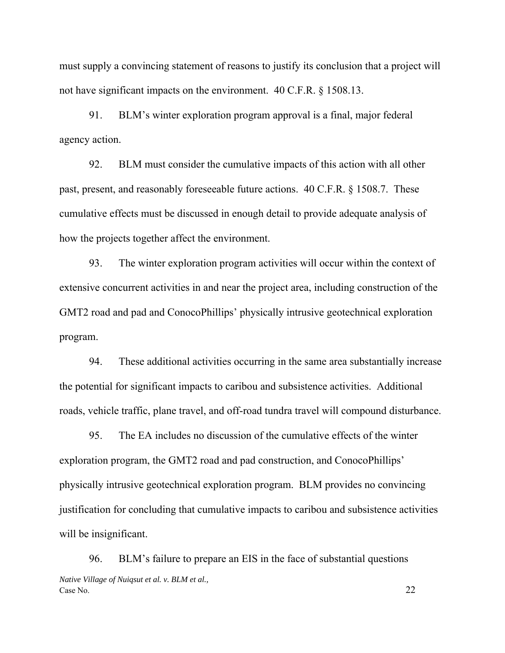must supply a convincing statement of reasons to justify its conclusion that a project will not have significant impacts on the environment. 40 C.F.R. § 1508.13.

91. BLM's winter exploration program approval is a final, major federal agency action.

92. BLM must consider the cumulative impacts of this action with all other past, present, and reasonably foreseeable future actions. 40 C.F.R. § 1508.7. These cumulative effects must be discussed in enough detail to provide adequate analysis of how the projects together affect the environment.

93. The winter exploration program activities will occur within the context of extensive concurrent activities in and near the project area, including construction of the GMT2 road and pad and ConocoPhillips' physically intrusive geotechnical exploration program.

94. These additional activities occurring in the same area substantially increase the potential for significant impacts to caribou and subsistence activities. Additional roads, vehicle traffic, plane travel, and off-road tundra travel will compound disturbance.

95. The EA includes no discussion of the cumulative effects of the winter exploration program, the GMT2 road and pad construction, and ConocoPhillips' physically intrusive geotechnical exploration program. BLM provides no convincing justification for concluding that cumulative impacts to caribou and subsistence activities will be insignificant.

*Native Village of Nuiqsut et al. v. BLM et al.,*  Case No. 22 96. BLM's failure to prepare an EIS in the face of substantial questions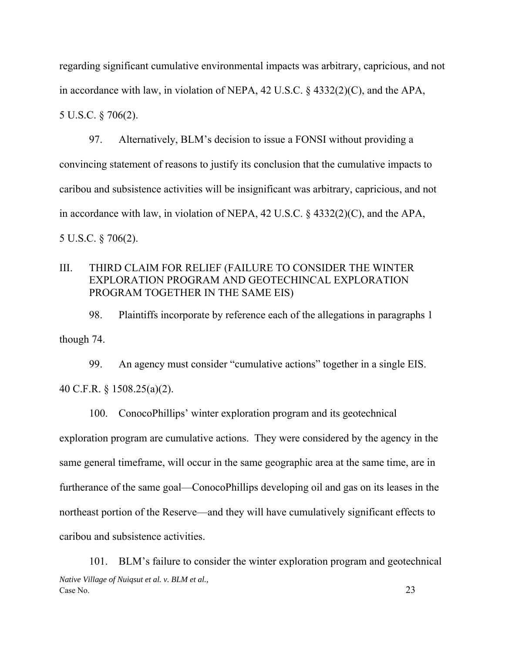regarding significant cumulative environmental impacts was arbitrary, capricious, and not in accordance with law, in violation of NEPA, 42 U.S.C. § 4332(2)(C), and the APA, 5 U.S.C. § 706(2).

97. Alternatively, BLM's decision to issue a FONSI without providing a convincing statement of reasons to justify its conclusion that the cumulative impacts to caribou and subsistence activities will be insignificant was arbitrary, capricious, and not in accordance with law, in violation of NEPA, 42 U.S.C. § 4332(2)(C), and the APA, 5 U.S.C. § 706(2).

# III. THIRD CLAIM FOR RELIEF (FAILURE TO CONSIDER THE WINTER EXPLORATION PROGRAM AND GEOTECHINCAL EXPLORATION PROGRAM TOGETHER IN THE SAME EIS)

98. Plaintiffs incorporate by reference each of the allegations in paragraphs 1 though 74.

99. An agency must consider "cumulative actions" together in a single EIS. 40 C.F.R. § 1508.25(a)(2).

100. ConocoPhillips' winter exploration program and its geotechnical exploration program are cumulative actions. They were considered by the agency in the same general timeframe, will occur in the same geographic area at the same time, are in furtherance of the same goal—ConocoPhillips developing oil and gas on its leases in the northeast portion of the Reserve—and they will have cumulatively significant effects to caribou and subsistence activities.

*Native Village of Nuiqsut et al. v. BLM et al.,*  Case No. 23 101. BLM's failure to consider the winter exploration program and geotechnical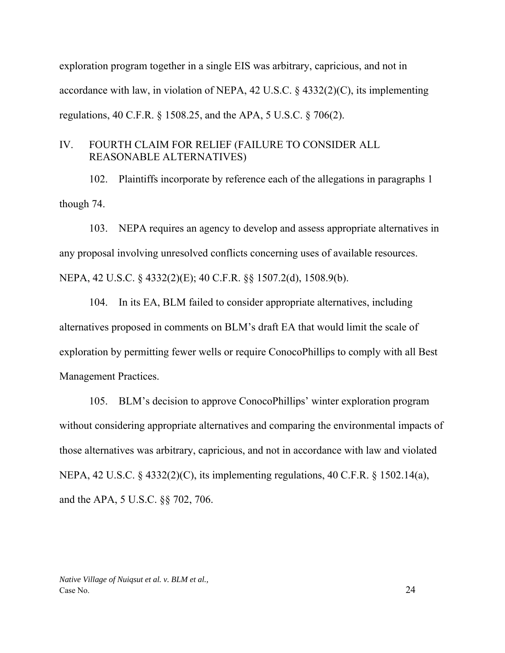exploration program together in a single EIS was arbitrary, capricious, and not in accordance with law, in violation of NEPA, 42 U.S.C. § 4332(2)(C), its implementing regulations, 40 C.F.R. § 1508.25, and the APA, 5 U.S.C. § 706(2).

## IV. FOURTH CLAIM FOR RELIEF (FAILURE TO CONSIDER ALL REASONABLE ALTERNATIVES)

102. Plaintiffs incorporate by reference each of the allegations in paragraphs 1 though 74.

103. NEPA requires an agency to develop and assess appropriate alternatives in any proposal involving unresolved conflicts concerning uses of available resources. NEPA, 42 U.S.C. § 4332(2)(E); 40 C.F.R. §§ 1507.2(d), 1508.9(b).

104. In its EA, BLM failed to consider appropriate alternatives, including alternatives proposed in comments on BLM's draft EA that would limit the scale of exploration by permitting fewer wells or require ConocoPhillips to comply with all Best Management Practices.

105. BLM's decision to approve ConocoPhillips' winter exploration program without considering appropriate alternatives and comparing the environmental impacts of those alternatives was arbitrary, capricious, and not in accordance with law and violated NEPA, 42 U.S.C. § 4332(2)(C), its implementing regulations, 40 C.F.R. § 1502.14(a), and the APA, 5 U.S.C. §§ 702, 706.